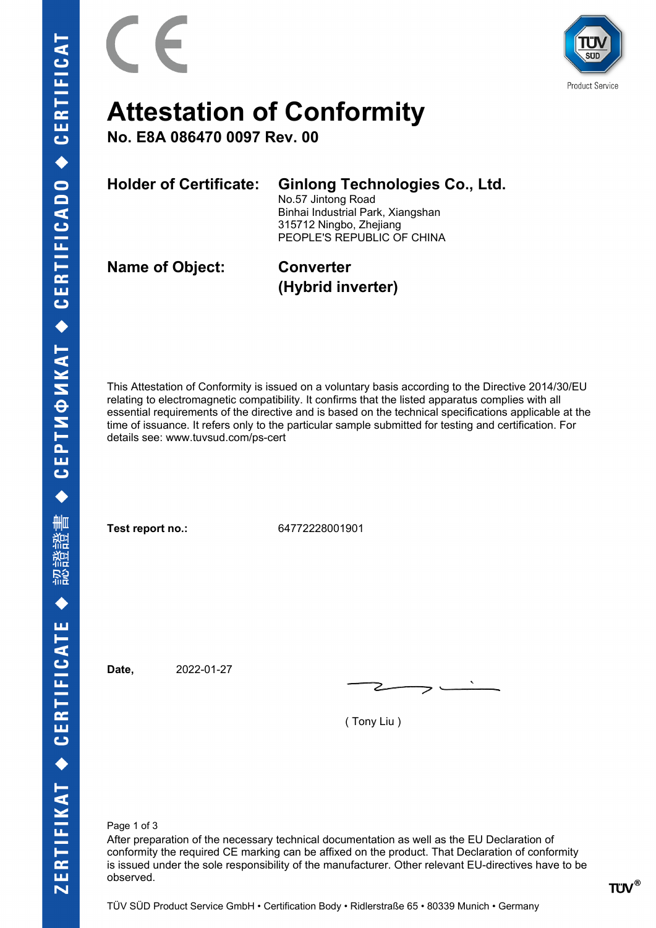



### **Attestation of Conformity**

**No. E8A 086470 0097 Rev. 00**

**Holder of Certificate: Ginlong Technologies Co., Ltd.**

No.57 Jintong Road Binhai Industrial Park, Xiangshan 315712 Ningbo, Zhejiang PEOPLE'S REPUBLIC OF CHINA

**Name of Object: Converter**

**(Hybrid inverter)**

This Attestation of Conformity is issued on a voluntary basis according to the Directive 2014/30/EU relating to electromagnetic compatibility. It confirms that the listed apparatus complies with all essential requirements of the directive and is based on the technical specifications applicable at the time of issuance. It refers only to the particular sample submitted for testing and certification. For details see: www.tuvsud.com/ps-cert

**Test report no.:** 64772228001901

**Date,** 2022-01-27

( Tony Liu )

Page 1 of 3

After preparation of the necessary technical documentation as well as the EU Declaration of conformity the required CE marking can be affixed on the product. That Declaration of conformity is issued under the sole responsibility of the manufacturer. Other relevant EU-directives have to be observed.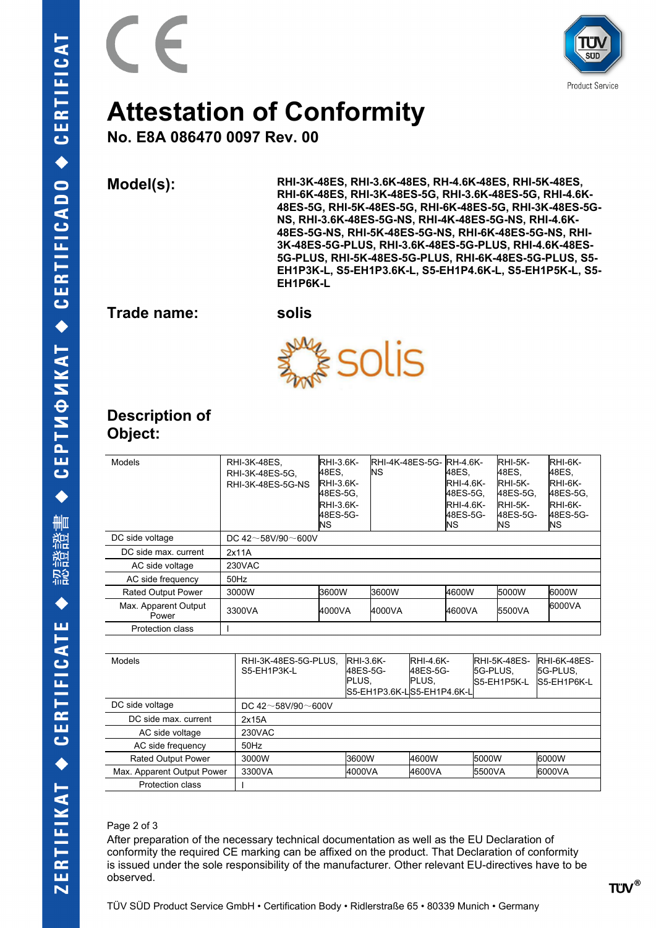



## **Attestation of Conformity**

**No. E8A 086470 0097 Rev. 00**

**Model(s): RHI-3K-48ES, RHI-3.6K-48ES, RH-4.6K-48ES, RHI-5K-48ES, RHI-6K-48ES, RHI-3K-48ES-5G, RHI-3.6K-48ES-5G, RHI-4.6K-48ES-5G, RHI-5K-48ES-5G, RHI-6K-48ES-5G, RHI-3K-48ES-5G-NS, RHI-3.6K-48ES-5G-NS, RHI-4K-48ES-5G-NS, RHI-4.6K-48ES-5G-NS, RHI-5K-48ES-5G-NS, RHI-6K-48ES-5G-NS, RHI-3K-48ES-5G-PLUS, RHI-3.6K-48ES-5G-PLUS, RHI-4.6K-48ES-5G-PLUS, RHI-5K-48ES-5G-PLUS, RHI-6K-48ES-5G-PLUS, S5- EH1P3K-L, S5-EH1P3.6K-L, S5-EH1P4.6K-L, S5-EH1P5K-L, S5- EH1P6K-L**

**Trade name: solis**



### **Description of Object:**

| Models                        | RHI-3K-48ES,<br>RHI-3K-48ES-5G,<br>RHI-3K-48ES-5G-NS | <b>RHI-3.6K-</b><br>48ES.<br><b>RHI-3.6K-</b><br>48ES-5G.<br><b>RHI-3.6K-</b><br>48ES-5G-<br>INS. | <b>RHI-4K-48ES-5G-RH-4.6K-</b><br>ΝS | A8ES,<br><b>RHI-4.6K-</b><br>48ES-5G,<br><b>RHI-4.6K-</b><br>48ES-5G-<br><b>INS</b> | $RHI-5K-$<br>A8ES,<br>RHI-5K-<br>48ES-5G,<br>$RHI-5K-$<br>48ES-5G-<br>ΝS | <b>RHI-6K-</b><br>48ES,<br><b>RHI-6K-</b><br>48ES-5G,<br><b>RHI-6K-</b><br>48ES-5G-<br>ΙNS. |  |  |
|-------------------------------|------------------------------------------------------|---------------------------------------------------------------------------------------------------|--------------------------------------|-------------------------------------------------------------------------------------|--------------------------------------------------------------------------|---------------------------------------------------------------------------------------------|--|--|
| DC side voltage               | DC 42 $\sim$ 58V/90 $\sim$ 600V                      |                                                                                                   |                                      |                                                                                     |                                                                          |                                                                                             |  |  |
| DC side max. current          | 2x11A                                                |                                                                                                   |                                      |                                                                                     |                                                                          |                                                                                             |  |  |
| AC side voltage               | 230VAC                                               |                                                                                                   |                                      |                                                                                     |                                                                          |                                                                                             |  |  |
| AC side frequency             | $50$ Hz                                              |                                                                                                   |                                      |                                                                                     |                                                                          |                                                                                             |  |  |
| <b>Rated Output Power</b>     | 3000W                                                | 3600W                                                                                             | 3600W                                | 4600W                                                                               | 5000W                                                                    | 16000W                                                                                      |  |  |
| Max. Apparent Output<br>Power | 3300VA                                               | 4000VA                                                                                            | 4000VA                               | 4600VA                                                                              | 5500VA                                                                   | 6000VA                                                                                      |  |  |
| <b>Protection class</b>       |                                                      |                                                                                                   |                                      |                                                                                     |                                                                          |                                                                                             |  |  |

| <b>Models</b>              | RHI-3K-48ES-5G-PLUS,<br>S5-EH1P3K-L | <b>RHI-3.6K-</b><br>48ES-5G-<br><b>PLUS.</b> | <b>RHI-4 6K-</b><br>48ES-5G-<br>IPLUS.<br>S5-EH1P3.6K-LS5-EH1P4.6K-L | <b>IRHI-5K-48ES-</b><br><b>ISG-PLUS.</b><br>S5-EH1P5K-L | <b>RHI-6K-48ES-</b><br><b>ISG-PLUS.</b><br>S5-EH1P6K-L |  |  |  |
|----------------------------|-------------------------------------|----------------------------------------------|----------------------------------------------------------------------|---------------------------------------------------------|--------------------------------------------------------|--|--|--|
| DC side voltage            | DC 42 $\sim$ 58V/90 $\sim$ 600V     |                                              |                                                                      |                                                         |                                                        |  |  |  |
| DC side max, current       | 2x15A                               |                                              |                                                                      |                                                         |                                                        |  |  |  |
| AC side voltage            | 230VAC                              |                                              |                                                                      |                                                         |                                                        |  |  |  |
| AC side frequency          | $50$ Hz                             |                                              |                                                                      |                                                         |                                                        |  |  |  |
| <b>Rated Output Power</b>  | 3000W                               | 3600W                                        | 4600W                                                                | <b>5000W</b>                                            | 6000W                                                  |  |  |  |
| Max. Apparent Output Power | 3300VA                              | 4000VA                                       | 4600VA                                                               | <b>5500VA</b>                                           | 6000VA                                                 |  |  |  |
| <b>Protection class</b>    |                                     |                                              |                                                                      |                                                         |                                                        |  |  |  |

#### Page 2 of 3

After preparation of the necessary technical documentation as well as the EU Declaration of conformity the required CE marking can be affixed on the product. That Declaration of conformity is issued under the sole responsibility of the manufacturer. Other relevant EU-directives have to be observed.